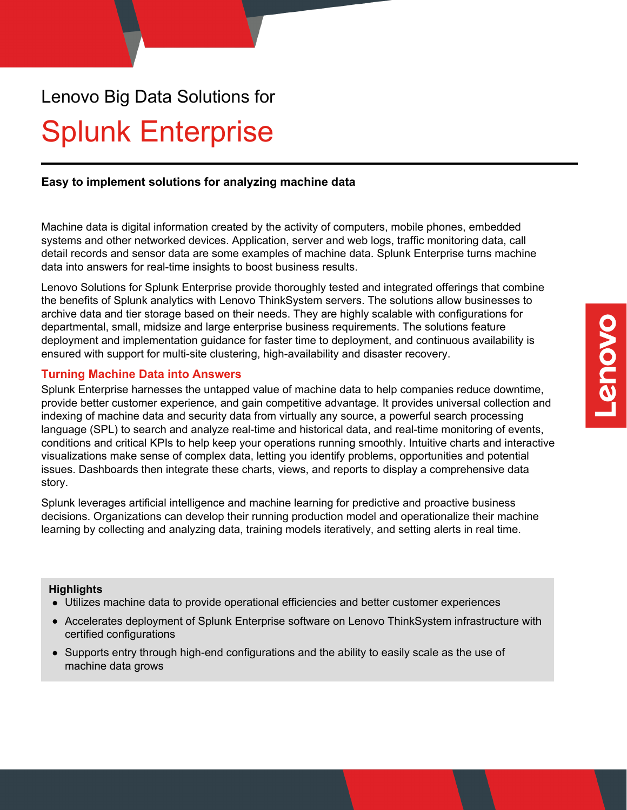# Lenovo Big Data Solutions for

# Splunk Enterprise

#### **Easy to implement solutions for analyzing machine data**

Machine data is digital information created by the activity of computers, mobile phones, embedded systems and other networked devices. Application, server and web logs, traffic monitoring data, call detail records and sensor data are some examples of machine data. Splunk Enterprise turns machine data into answers for real-time insights to boost business results.

Lenovo Solutions for Splunk Enterprise provide thoroughly tested and integrated offerings that combine the benefits of Splunk analytics with Lenovo ThinkSystem servers. The solutions allow businesses to archive data and tier storage based on their needs. They are highly scalable with configurations for departmental, small, midsize and large enterprise business requirements. The solutions feature deployment and implementation guidance for faster time to deployment, and continuous availability is ensured with support for multi-site clustering, high-availability and disaster recovery.

#### **Turning Machine Data into Answers**

Splunk Enterprise harnesses the untapped value of machine data to help companies reduce downtime, provide better customer experience, and gain competitive advantage. It provides universal collection and indexing of machine data and security data from virtually any source, a powerful search processing language (SPL) to search and analyze real-time and historical data, and real-time monitoring of events, conditions and critical KPIs to help keep your operations running smoothly. Intuitive charts and interactive visualizations make sense of complex data, letting you identify problems, opportunities and potential issues. Dashboards then integrate these charts, views, and reports to display a comprehensive data story.

Splunk leverages artificial intelligence and machine learning for predictive and proactive business decisions. Organizations can develop their running production model and operationalize their machine learning by collecting and analyzing data, training models iteratively, and setting alerts in real time.

#### **Highlights**

- Utilizes machine data to provide operational efficiencies and better customer experiences
- Accelerates deployment of Splunk Enterprise software on Lenovo ThinkSystem infrastructure with certified configurations
- Supports entry through high-end configurations and the ability to easily scale as the use of machine data grows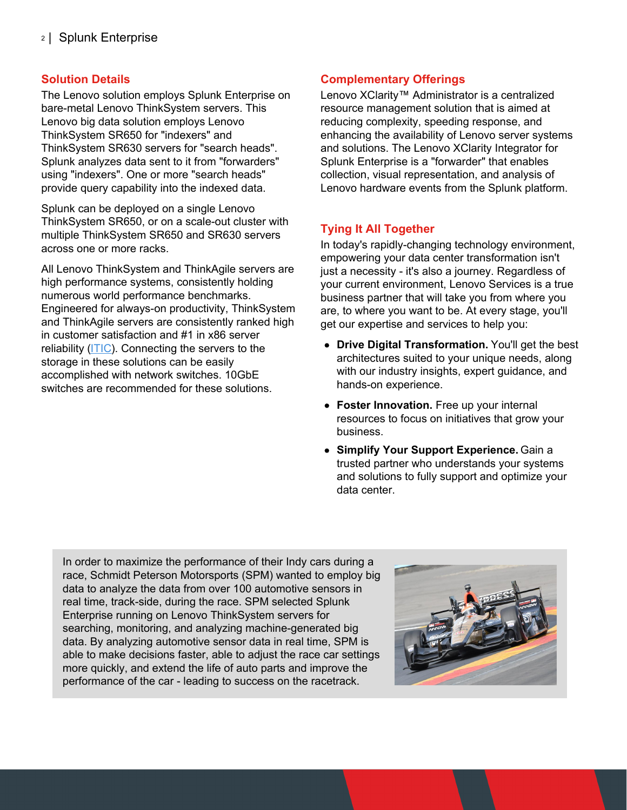# **Solution Details**

The Lenovo solution employs Splunk Enterprise on bare-metal Lenovo ThinkSystem servers. This Lenovo big data solution employs Lenovo ThinkSystem SR650 for "indexers" and ThinkSystem SR630 servers for "search heads". Splunk analyzes data sent to it from "forwarders" using "indexers". One or more "search heads" provide query capability into the indexed data.

Splunk can be deployed on a single Lenovo ThinkSystem SR650, or on a scale-out cluster with multiple ThinkSystem SR650 and SR630 servers across one or more racks.

All Lenovo ThinkSystem and ThinkAgile servers are high performance systems, consistently holding numerous world performance benchmarks. Engineered for always-on productivity, ThinkSystem and ThinkAgile servers are consistently ranked high in customer satisfaction and #1 in x86 server reliability  $(ITIC)$  $(ITIC)$ . Connecting the servers to the storage in these solutions can be easily accomplished with network switches. 10GbE switches are recommended for these solutions.

# **Complementary Offerings**

Lenovo XClarity™ Administrator is a centralized resource management solution that is aimed at reducing complexity, speeding response, and enhancing the availability of Lenovo server systems and solutions. The Lenovo XClarity Integrator for Splunk Enterprise is a "forwarder" that enables collection, visual representation, and analysis of Lenovo hardware events from the Splunk platform.

# **Tying It All Together**

In today's rapidly-changing technology environment, empowering your data center transformation isn't just a necessity - it's also a journey. Regardless of your current environment, Lenovo Services is a true business partner that will take you from where you are, to where you want to be. At every stage, you'll get our expertise and services to help you:

- **Drive Digital Transformation.** You'll get the best architectures suited to your unique needs, along with our industry insights, expert guidance, and hands-on experience.
- **Foster Innovation.** Free up your internal resources to focus on initiatives that grow your business.
- **Simplify Your Support Experience.** Gain a trusted partner who understands your systems and solutions to fully support and optimize your data center.

In order to maximize the performance of their Indy cars during a race, Schmidt Peterson Motorsports (SPM) wanted to employ big data to analyze the data from over 100 automotive sensors in real time, track-side, during the race. SPM selected Splunk Enterprise running on Lenovo ThinkSystem servers for searching, monitoring, and analyzing machine-generated big data. By analyzing automotive sensor data in real time, SPM is able to make decisions faster, able to adjust the race car settings more quickly, and extend the life of auto parts and improve the performance of the car - leading to success on the racetrack.